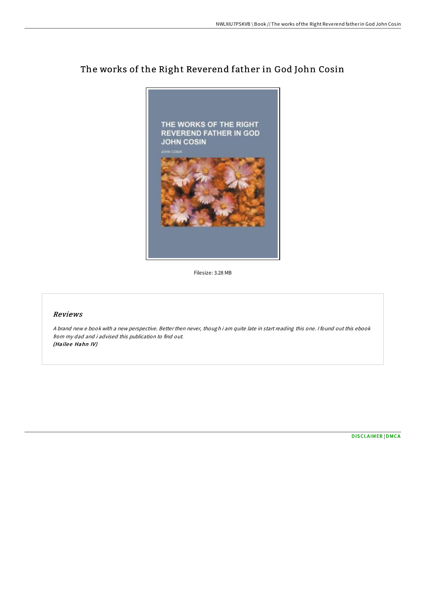

# The works of the Right Reverend father in God John Cosin

Filesize: 3.28 MB

## Reviews

<sup>A</sup> brand new <sup>e</sup> book with <sup>a</sup> new perspective. Better then never, though i am quite late in start reading this one. <sup>I</sup> found out this ebook from my dad and i advised this publication to find out. (Hailee Hahn IV)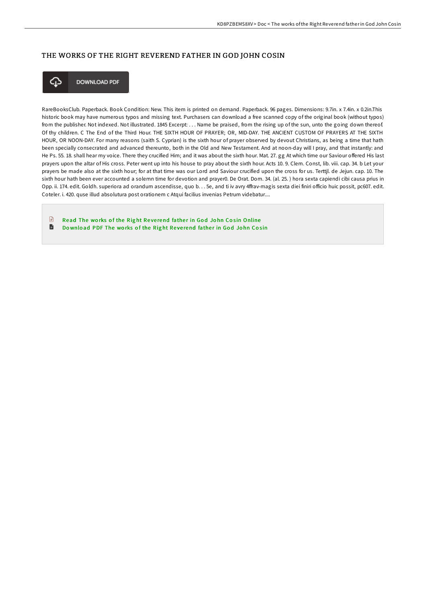## THE WORKS OF THE RIGHT REVEREND FATHER IN GOD JOHN COSIN



**DOWNLOAD PDF** 

RareBooksClub. Paperback. Book Condition: New. This item is printed on demand. Paperback. 96 pages. Dimensions: 9.7in. x 7.4in. x 0.2in.This historic book may have numerous typos and missing text. Purchasers can download a free scanned copy of the original book (without typos) from the publisher. Not indexed. Not illustrated. 1845 Excerpt: . . . Name be praised, from the rising up of the sun, unto the going down thereof. Of thy children. C The End of the Third Hour. THE SIXTH HOUR OF PRAYER; OR, MID-DAY. THE ANCIENT CUSTOM OF PRAYERS AT THE SIXTH HOUR, OR NOON-DAY. For many reasons (saith S. Cyprian) is the sixth hour of prayer observed by devout Christians, as being a time that hath been specially consecrated and advanced thereunto, both in the Old and New Testament. And at noon-day will I pray, and that instantly: and He Ps. 55. 18. shall hear my voice. There they crucified Him; and it was about the sixth hour. Mat. 27. gg At which time our Saviour offered His last prayers upon the altar of His cross. Peter went up into his house to pray about the sixth hour. Acts 10. 9. Clem. Const, lib. viii. cap. 34. b Let your prayers be made also at the sixth hour; for at that time was our Lord and Saviour crucified upon the cross for us. Terttjl. de Jejun. cap. 10. The sixth hour hath been ever accounted a solemn time for devotion and prayer0. De Orat. Dom. 34. (al. 25. ) hora sexta capiendi cibi causa prius in Opp. ii. 174. edit. Goldh. superiora ad orandum ascendisse, quo b. . . 5e, and ti iv avry 4ffrav-magis sexta diei finiri officio huic possit, pc607. edit. Coteler. i. 420. quse illud absolutura post orationem c Atqui facilius invenias Petrum videbatur....

 $\mathbb{R}$ Read The works of the Right Reverend father in God John Cosin [Online](http://almighty24.tech/the-works-of-the-right-reverend-father-in-god-jo.html) D Download PDF The works of the Right Reverend [fathe](http://almighty24.tech/the-works-of-the-right-reverend-father-in-god-jo.html)r in God John Cosin